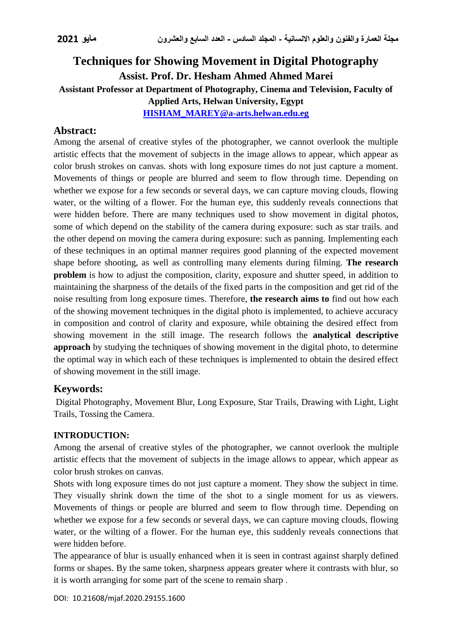# **Techniques for Showing Movement in Digital Photography Assist. Prof. Dr. Hesham Ahmed Ahmed Marei Assistant Professor at Department of Photography, Cinema and Television, Faculty of Applied Arts, Helwan University, Egypt [HISHAM\\_MAREY@a-arts.helwan.edu.eg](mailto:HISHAM_MAREY@a-arts.helwan.edu.eg)**

# **Abstract:**

Among the arsenal of creative styles of the photographer, we cannot overlook the multiple artistic effects that the movement of subjects in the image allows to appear, which appear as color brush strokes on canvas. shots with long exposure times do not just capture a moment. Movements of things or people are blurred and seem to flow through time. Depending on whether we expose for a few seconds or several days, we can capture moving clouds, flowing water, or the wilting of a flower. For the human eye, this suddenly reveals connections that were hidden before. There are many techniques used to show movement in digital photos, some of which depend on the stability of the camera during exposure: such as star trails. and the other depend on moving the camera during exposure: such as panning. Implementing each of these techniques in an optimal manner requires good planning of the expected movement shape before shooting, as well as controlling many elements during filming. **The research problem** is how to adjust the composition, clarity, exposure and shutter speed, in addition to maintaining the sharpness of the details of the fixed parts in the composition and get rid of the noise resulting from long exposure times. Therefore, **the research aims to** find out how each of the showing movement techniques in the digital photo is implemented, to achieve accuracy in composition and control of clarity and exposure, while obtaining the desired effect from showing movement in the still image. The research follows the **analytical descriptive approach** by studying the techniques of showing movement in the digital photo, to determine the optimal way in which each of these techniques is implemented to obtain the desired effect of showing movement in the still image.

# **Keywords:**

Digital Photography, Movement Blur, Long Exposure, Star Trails, Drawing with Light, Light Trails, Tossing the Camera.

### **INTRODUCTION:**

Among the arsenal of creative styles of the photographer, we cannot overlook the multiple artistic effects that the movement of subjects in the image allows to appear, which appear as color brush strokes on canvas.

Shots with long exposure times do not just capture a moment. They show the subject in time. They visually shrink down the time of the shot to a single moment for us as viewers. Movements of things or people are blurred and seem to flow through time. Depending on whether we expose for a few seconds or several days, we can capture moving clouds, flowing water, or the wilting of a flower. For the human eye, this suddenly reveals connections that were hidden before.

The appearance of blur is usually enhanced when it is seen in contrast against sharply defined forms or shapes. By the same token, sharpness appears greater where it contrasts with blur, so it is worth arranging for some part of the scene to remain sharp .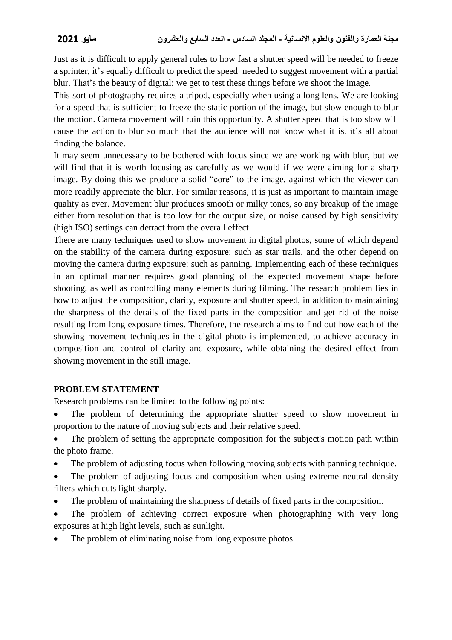Just as it is difficult to apply general rules to how fast a shutter speed will be needed to freeze a sprinter, it's equally difficult to predict the speed needed to suggest movement with a partial blur. That's the beauty of digital: we get to test these things before we shoot the image.

This sort of photography requires a tripod, especially when using a long lens. We are looking for a speed that is sufficient to freeze the static portion of the image, but slow enough to blur the motion. Camera movement will ruin this opportunity. A shutter speed that is too slow will cause the action to blur so much that the audience will not know what it is. it's all about finding the balance.

It may seem unnecessary to be bothered with focus since we are working with blur, but we will find that it is worth focusing as carefully as we would if we were aiming for a sharp image. By doing this we produce a solid "core" to the image, against which the viewer can more readily appreciate the blur. For similar reasons, it is just as important to maintain image quality as ever. Movement blur produces smooth or milky tones, so any breakup of the image either from resolution that is too low for the output size, or noise caused by high sensitivity (high ISO) settings can detract from the overall effect.

There are many techniques used to show movement in digital photos, some of which depend on the stability of the camera during exposure: such as star trails. and the other depend on moving the camera during exposure: such as panning. Implementing each of these techniques in an optimal manner requires good planning of the expected movement shape before shooting, as well as controlling many elements during filming. The research problem lies in how to adjust the composition, clarity, exposure and shutter speed, in addition to maintaining the sharpness of the details of the fixed parts in the composition and get rid of the noise resulting from long exposure times. Therefore, the research aims to find out how each of the showing movement techniques in the digital photo is implemented, to achieve accuracy in composition and control of clarity and exposure, while obtaining the desired effect from showing movement in the still image.

### **PROBLEM STATEMENT**

Research problems can be limited to the following points:

- The problem of determining the appropriate shutter speed to show movement in proportion to the nature of moving subjects and their relative speed.
- The problem of setting the appropriate composition for the subject's motion path within the photo frame.
- The problem of adjusting focus when following moving subjects with panning technique.
- The problem of adjusting focus and composition when using extreme neutral density filters which cuts light sharply.
- The problem of maintaining the sharpness of details of fixed parts in the composition.
- The problem of achieving correct exposure when photographing with very long exposures at high light levels, such as sunlight.
- The problem of eliminating noise from long exposure photos.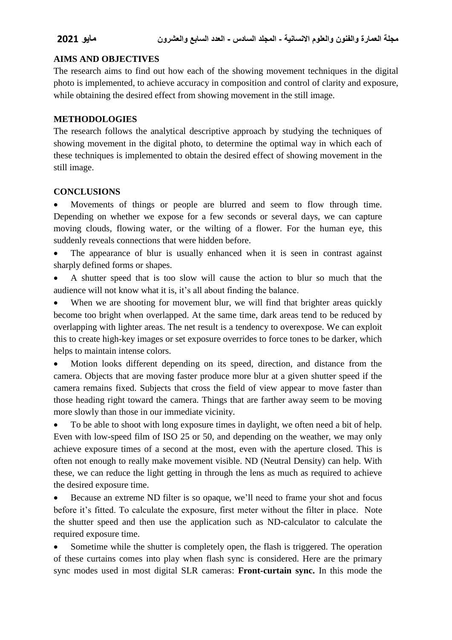### **AIMS AND OBJECTIVES**

The research aims to find out how each of the showing movement techniques in the digital photo is implemented, to achieve accuracy in composition and control of clarity and exposure, while obtaining the desired effect from showing movement in the still image.

### **METHODOLOGIES**

The research follows the analytical descriptive approach by studying the techniques of showing movement in the digital photo, to determine the optimal way in which each of these techniques is implemented to obtain the desired effect of showing movement in the still image.

### **CONCLUSIONS**

 Movements of things or people are blurred and seem to flow through time. Depending on whether we expose for a few seconds or several days, we can capture moving clouds, flowing water, or the wilting of a flower. For the human eye, this suddenly reveals connections that were hidden before.

 The appearance of blur is usually enhanced when it is seen in contrast against sharply defined forms or shapes.

 A shutter speed that is too slow will cause the action to blur so much that the audience will not know what it is, it's all about finding the balance.

 When we are shooting for movement blur, we will find that brighter areas quickly become too bright when overlapped. At the same time, dark areas tend to be reduced by overlapping with lighter areas. The net result is a tendency to overexpose. We can exploit this to create high-key images or set exposure overrides to force tones to be darker, which helps to maintain intense colors.

• Motion looks different depending on its speed, direction, and distance from the camera. Objects that are moving faster produce more blur at a given shutter speed if the camera remains fixed. Subjects that cross the field of view appear to move faster than those heading right toward the camera. Things that are farther away seem to be moving more slowly than those in our immediate vicinity.

 To be able to shoot with long exposure times in daylight, we often need a bit of help. Even with low-speed film of ISO 25 or 50, and depending on the weather, we may only achieve exposure times of a second at the most, even with the aperture closed. This is often not enough to really make movement visible. ND (Neutral Density) can help. With these, we can reduce the light getting in through the lens as much as required to achieve the desired exposure time.

 Because an extreme ND filter is so opaque, we'll need to frame your shot and focus before it's fitted. To calculate the exposure, first meter without the filter in place. Note the shutter speed and then use the application such as ND-calculator to calculate the required exposure time.

 Sometime while the shutter is completely open, the flash is triggered. The operation of these curtains comes into play when flash sync is considered. Here are the primary sync modes used in most digital SLR cameras: **Front-curtain sync.** In this mode the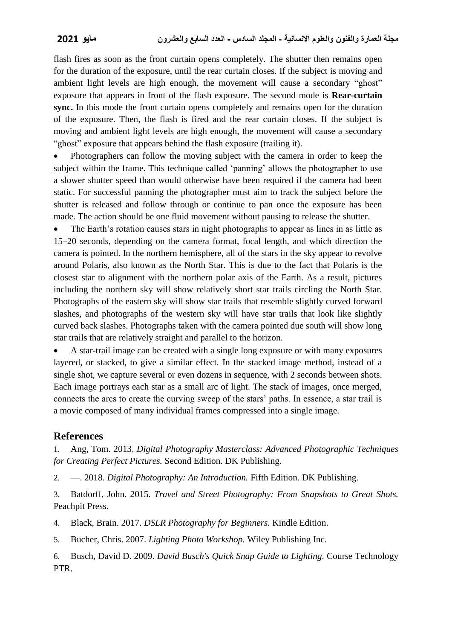flash fires as soon as the front curtain opens completely. The shutter then remains open for the duration of the exposure, until the rear curtain closes. If the subject is moving and ambient light levels are high enough, the movement will cause a secondary "ghost" exposure that appears in front of the flash exposure. The second mode is **Rear-curtain sync.** In this mode the front curtain opens completely and remains open for the duration of the exposure. Then, the flash is fired and the rear curtain closes. If the subject is moving and ambient light levels are high enough, the movement will cause a secondary "ghost" exposure that appears behind the flash exposure (trailing it).

 Photographers can follow the moving subject with the camera in order to keep the subject within the frame. This technique called 'panning' allows the photographer to use a slower shutter speed than would otherwise have been required if the camera had been static. For successful panning the photographer must aim to track the subject before the shutter is released and follow through or continue to pan once the exposure has been made. The action should be one fluid movement without pausing to release the shutter.

 The Earth's rotation causes stars in night photographs to appear as lines in as little as 15–20 seconds, depending on the camera format, focal length, and which direction the camera is pointed. In the northern hemisphere, all of the stars in the sky appear to revolve around Polaris, also known as the North Star. This is due to the fact that Polaris is the closest star to alignment with the northern polar axis of the Earth. As a result, pictures including the northern sky will show relatively short star trails circling the North Star. Photographs of the eastern sky will show star trails that resemble slightly curved forward slashes, and photographs of the western sky will have star trails that look like slightly curved back slashes. Photographs taken with the camera pointed due south will show long star trails that are relatively straight and parallel to the horizon.

 A star-trail image can be created with a single long exposure or with many exposures layered, or stacked, to give a similar effect. In the stacked image method, instead of a single shot, we capture several or even dozens in sequence, with 2 seconds between shots. Each image portrays each star as a small arc of light. The stack of images, once merged, connects the arcs to create the curving sweep of the stars' paths. In essence, a star trail is a movie composed of many individual frames compressed into a single image.

# **References**

1. Ang, Tom. 2013. *Digital Photography Masterclass: Advanced Photographic Techniques for Creating Perfect Pictures.* Second Edition. DK Publishing.

2. —. 2018. *Digital Photography: An Introduction.* Fifth Edition. DK Publishing.

3. Batdorff, John. 2015. *Travel and Street Photography: From Snapshots to Great Shots.* Peachpit Press.

4. Black, Brain. 2017. *DSLR Photography for Beginners.* Kindle Edition.

5. Bucher, Chris. 2007. *Lighting Photo Workshop.* Wiley Publishing Inc.

6. Busch, David D. 2009. *David Busch's Quick Snap Guide to Lighting.* Course Technology PTR.